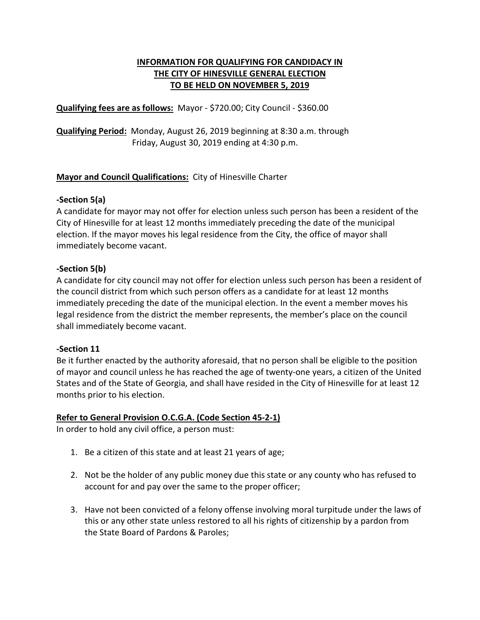# **INFORMATION FOR QUALIFYING FOR CANDIDACY IN THE CITY OF HINESVILLE GENERAL ELECTION TO BE HELD ON NOVEMBER 5, 2019**

**Qualifying fees are as follows:** Mayor - \$720.00; City Council - \$360.00

**Qualifying Period:** Monday, August 26, 2019 beginning at 8:30 a.m. through Friday, August 30, 2019 ending at 4:30 p.m.

# **Mayor and Council Qualifications:** City of Hinesville Charter

### **-Section 5(a)**

A candidate for mayor may not offer for election unless such person has been a resident of the City of Hinesville for at least 12 months immediately preceding the date of the municipal election. If the mayor moves his legal residence from the City, the office of mayor shall immediately become vacant.

### **-Section 5(b)**

A candidate for city council may not offer for election unless such person has been a resident of the council district from which such person offers as a candidate for at least 12 months immediately preceding the date of the municipal election. In the event a member moves his legal residence from the district the member represents, the member's place on the council shall immediately become vacant.

### **-Section 11**

Be it further enacted by the authority aforesaid, that no person shall be eligible to the position of mayor and council unless he has reached the age of twenty-one years, a citizen of the United States and of the State of Georgia, and shall have resided in the City of Hinesville for at least 12 months prior to his election.

### **Refer to General Provision O.C.G.A. (Code Section 45-2-1)**

In order to hold any civil office, a person must:

- 1. Be a citizen of this state and at least 21 years of age;
- 2. Not be the holder of any public money due this state or any county who has refused to account for and pay over the same to the proper officer;
- 3. Have not been convicted of a felony offense involving moral turpitude under the laws of this or any other state unless restored to all his rights of citizenship by a pardon from the State Board of Pardons & Paroles;